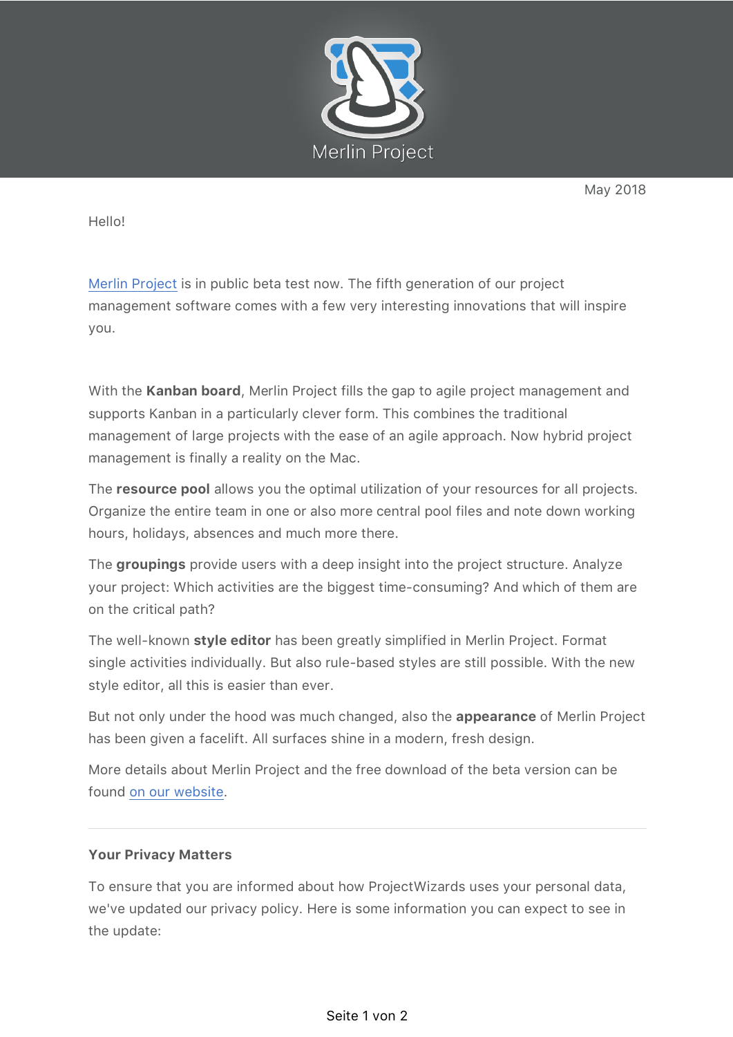

May 2018

Hello!

Merlin Project is in public beta test now. The fifth generation of our project management software comes with a few very interesting innovations that will inspire you.

With the **Kanban board**, Merlin Project fills the gap to agile project management and supports Kanban in a particularly clever form. This combines the traditional management of large projects with the ease of an agile approach. Now hybrid project management is finally a reality on the Mac.

The **resource pool** allows you the optimal utilization of your resources for all projects. Organize the entire team in one or also more central pool files and note down working hours, holidays, absences and much more there.

The **groupings** provide users with a deep insight into the project structure. Analyze your project: Which activities are the biggest time-consuming? And which of them are on the critical path?

The well-known **style editor** has been greatly simplified in Merlin Project. Format single activities individually. But also rule-based styles are still possible. With the new style editor, all this is easier than ever.

But not only under the hood was much changed, also the **appearance** of Merlin Project has been given a facelift. All surfaces shine in a modern, fresh design.

More details about Merlin Project and the free download of the beta version can be found on our website.

## **Your Privacy Matters**

To ensure that you are informed about how ProjectWizards uses your personal data, we've updated our privacy policy. Here is some information you can expect to see in the update: